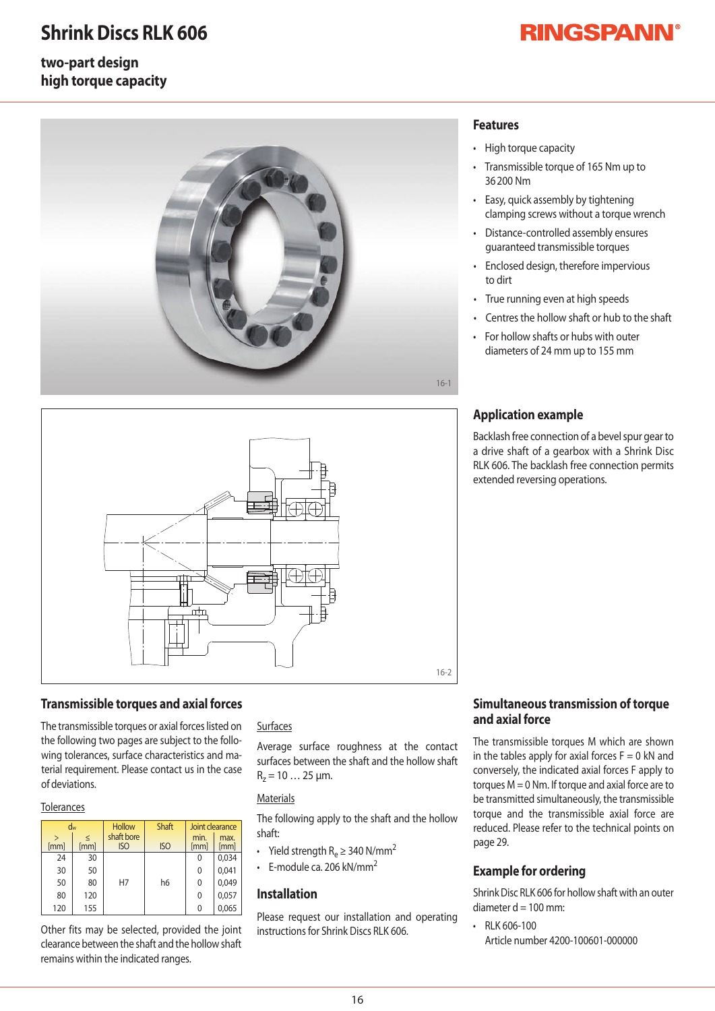## **Shrink Discs RLK 606**

#### **two-part design high torque capacity**

### **RINGSPANN®**





#### **Transmissible torques and axial forces**

The transmissible torques or axial forces listed on the following two pages are subject to the following tolerances, surface characteristics and material requirement. Please contact us in the case ofdeviations.

#### **Tolerances**

| $\mathbf{L}$<br>[mm] | dw<br>[mm] | <b>Hollow</b><br>shaft bore<br><b>ISO</b> | <b>Shaft</b><br><b>ISO</b> | Joint clearance<br>min.<br>max.<br>[mm]<br>[mm] |       |  |  |
|----------------------|------------|-------------------------------------------|----------------------------|-------------------------------------------------|-------|--|--|
| 24                   | 30         |                                           |                            | 0                                               | 0,034 |  |  |
| 30                   | 50         |                                           |                            | 0                                               | 0,041 |  |  |
| 50                   | 80         | H7                                        | h6                         | 0                                               | 0,049 |  |  |
| 80                   | 120        |                                           |                            | 0                                               | 0,057 |  |  |
| 120                  | 155        |                                           |                            | 0                                               | 0,065 |  |  |

Other fits may be selected, provided the joint clearance between the shaft and the hollow shaft remains within the indicated ranges.

#### Surfaces

Average surface roughness at the contact surfaces between the shaft and the hollow shaft  $R_z = 10...25 \mu m$ .

#### **Materials**

The following apply to the shaft and the hollow shaft:

- Yield strength  $R_e \geq 340 \text{ N/mm}^2$
- F-module ca. 206 kN/mm<sup>2</sup>

#### **Installation**

Please request our installation and operating instructions for Shrink Discs RLK 606

#### **Features**

- High torque capacity
- Transmissible torque of 165 Nm up to 36200Nm
- Easy, quick assembly by tightening clamping screws without a torque wrench
- Distance-controlled assembly ensures guaranteed transmissible torques
- Enclosed design, therefore impervious to dirt
- True running even at high speeds
- Centres the hollow shaft or hub to the shaft
- For hollow shafts or hubs with outer diameters of 24 mm up to 155 mm

#### **Application example**

Backlash free connection of a bevel spur gear to a drive shaft of a gearbox with a Shrink Disc-RLK 606. The backlash free connection permits extended reversing operations.

#### **Simultaneous transmission of torque and axial force**

The transmissible torques M which are shownin the tables apply for axial forces  $F=0$  kN and conversely, the indicated axial forces F apply to torques  $M = 0$  Nm. If torque and axial force are to be transmitted simultaneously, the transmissible torque and the transmissible axial force are reduced. Please refer to the technical points on page 29.

#### **Example for ordering**

Shrink Disc RLK 606 for hollow shaft with an outer diameter  $d = 100$  mm:

• RLK606-100 Article number 4200-100601-000000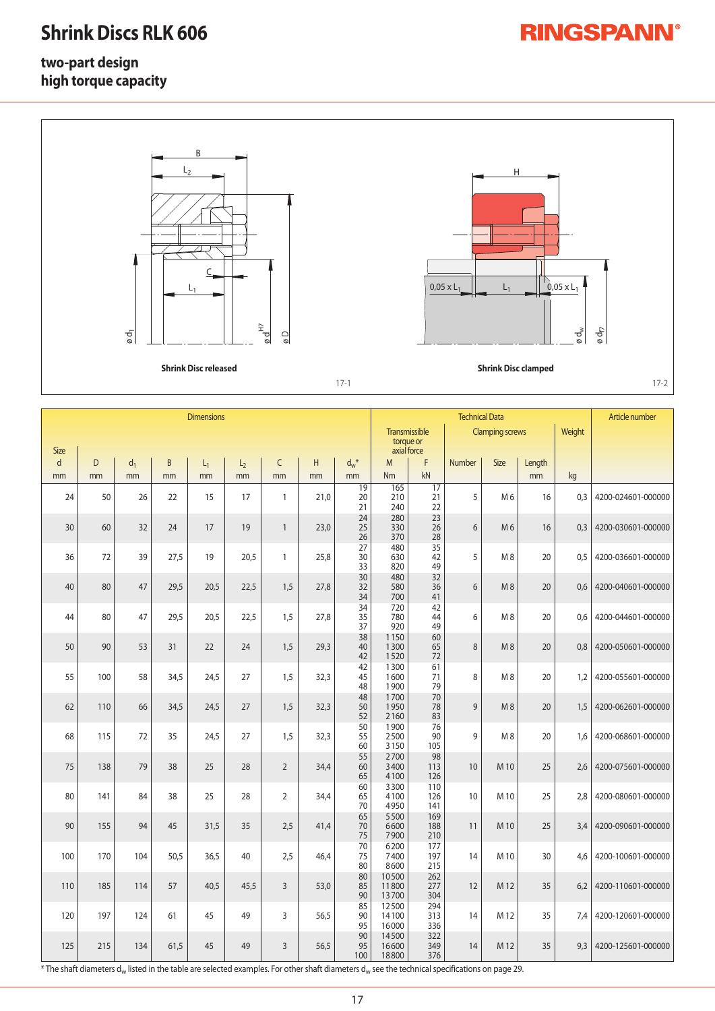## **Shrink Discs RLK 606**

# **RINGSPANN®**

### **two-part design high torque capacity**



|                             |     | ød <sub>1</sub>                                                                                |      |      |      | $\mathfrak{g}^\mathfrak{t}_\varnothing$<br>$\frac{1}{\alpha}$ |      |                                 |                                                                     |                            |    |                |        | øď  | ødf                |  |  |
|-----------------------------|-----|------------------------------------------------------------------------------------------------|------|------|------|---------------------------------------------------------------|------|---------------------------------|---------------------------------------------------------------------|----------------------------|----|----------------|--------|-----|--------------------|--|--|
| <b>Shrink Disc released</b> |     |                                                                                                |      |      |      |                                                               |      |                                 |                                                                     | <b>Shrink Disc clamped</b> |    |                |        |     |                    |  |  |
| $17-1$<br>$17 - 2$          |     |                                                                                                |      |      |      |                                                               |      |                                 |                                                                     |                            |    |                |        |     |                    |  |  |
| <b>Dimensions</b>           |     |                                                                                                |      |      |      |                                                               |      |                                 | <b>Technical Data</b>                                               |                            |    |                |        |     | Article number     |  |  |
|                             |     |                                                                                                |      |      |      |                                                               |      |                                 | Transmissible<br><b>Clamping screws</b><br>torque or<br>axial force |                            |    |                | Weight |     |                    |  |  |
| <b>Size</b><br>d            | D   | $\sf B$<br>$\mathsf C$<br>H<br>$d_w$ <sup>*</sup><br>d <sub>1</sub><br>$L_1$<br>L <sub>2</sub> |      |      |      | M                                                             | F    | <b>Size</b><br>Number<br>Length |                                                                     |                            |    |                |        |     |                    |  |  |
| mm                          | mm  | mm                                                                                             | mm   | mm   | mm   | mm                                                            | mm   | mm<br>$\overline{19}$           | <b>Nm</b><br>165                                                    | kN<br>$\overline{17}$      |    |                | mm     | kg  |                    |  |  |
| 24                          | 50  | 26                                                                                             | 22   | 15   | 17   | $\mathbf{1}$                                                  | 21,0 | 20<br>21                        | 210<br>240                                                          | 21<br>22                   | 5  | M <sub>6</sub> | 16     | 0,3 | 4200-024601-000000 |  |  |
| 30                          | 60  | 32                                                                                             | 24   | 17   | 19   | $\mathbf{1}$                                                  | 23,0 | 24<br>25<br>26                  | 280<br>330<br>370                                                   | 23<br>26<br>28             | 6  | M <sub>6</sub> | 16     | 0,3 | 4200-030601-000000 |  |  |
| 36                          | 72  | 39                                                                                             | 27,5 | 19   | 20,5 | $\mathbf{1}$                                                  | 25,8 | 27<br>30<br>33                  | 480<br>630<br>820                                                   | 35<br>42<br>49             | 5  | M8             | 20     | 0,5 | 4200-036601-000000 |  |  |
| 40                          | 80  | 47                                                                                             | 29,5 | 20,5 | 22,5 | 1,5                                                           | 27,8 | 30<br>32<br>34                  | 480<br>580<br>700                                                   | 32<br>36<br>41             | 6  | M8             | 20     | 0,6 | 4200-040601-000000 |  |  |
| 44                          | 80  | 47                                                                                             | 29,5 | 20,5 | 22,5 | 1,5                                                           | 27,8 | 34<br>35<br>37                  | 720<br>780<br>920                                                   | 42<br>44<br>49             | 6  | M8             | 20     | 0,6 | 4200-044601-000000 |  |  |
| 50                          | 90  | 53                                                                                             | 31   | 22   | 24   | 1,5                                                           | 29,3 | 38<br>40<br>42                  | 1150<br>1300<br>1520                                                | 60<br>65<br>72             | 8  | M8             | 20     | 0,8 | 4200-050601-000000 |  |  |
| 55                          | 100 | 58                                                                                             | 34,5 | 24,5 | 27   | 1,5                                                           | 32,3 | 42<br>45<br>48                  | 1300<br>1600<br>1900                                                | 61<br>71<br>79             | 8  | M8             | 20     | 1,2 | 4200-055601-000000 |  |  |
| 62                          | 110 | 66                                                                                             | 34,5 | 24,5 | 27   | 1,5                                                           | 32,3 | 48<br>50<br>52                  | 1700<br>1950<br>2160                                                | 70<br>78<br>83             | 9  | M8             | 20     | 1,5 | 4200-062601-000000 |  |  |
| 68                          | 115 | 72                                                                                             | 35   | 24,5 | 27   | 1,5                                                           | 32,3 | 50<br>55<br>60                  | 1900<br>2500<br>3150                                                | 76<br>90<br>105            | 9  | M <sub>8</sub> | 20     | 1,6 | 4200-068601-000000 |  |  |
| 75                          | 138 | 79                                                                                             | 38   | 25   | 28   | $\overline{2}$                                                | 34,4 | 55<br>60<br>65                  | 2700<br>3400<br>4100                                                | 98<br>113<br>126           | 10 | M 10           | 25     | 2,6 | 4200-075601-000000 |  |  |
| 80                          | 141 | 84                                                                                             | 38   | 25   | 28   | $\overline{2}$                                                | 34,4 | 60<br>65<br>70                  | 3300<br>4100<br>4950                                                | 110<br>126<br>141          | 10 | M 10           | 25     | 2,8 | 4200-080601-000000 |  |  |
| 90                          | 155 | 94                                                                                             | 45   | 31,5 | 35   | 2,5                                                           | 41,4 | 65<br>70<br>75                  | 5500<br>6600<br>7900                                                | 169<br>188<br>210          | 11 | M 10           | 25     | 3,4 | 4200-090601-000000 |  |  |
| 100                         | 170 | 104                                                                                            | 50,5 | 36,5 | 40   | 2,5                                                           | 46,4 | 70<br>75<br>80                  | 6200<br>7400<br>8600                                                | 177<br>197<br>215          | 14 | M 10           | 30     | 4,6 | 4200-100601-000000 |  |  |
| 110                         | 185 | 114                                                                                            | 57   | 40,5 | 45,5 | $\overline{3}$                                                | 53,0 | 80<br>85<br>90                  | 10500<br>11800<br>13700                                             | 262<br>277<br>304          | 12 | M 12           | 35     | 6,2 | 4200-110601-000000 |  |  |
| 120                         | 197 | 124                                                                                            | 61   | 45   | 49   | 3                                                             | 56,5 | 85<br>90<br>95                  | 12500<br>14100<br>16000                                             | 294<br>313<br>336          | 14 | M 12           | 35     | 7,4 | 4200-120601-000000 |  |  |
| 125                         | 215 | 134                                                                                            | 61,5 | 45   | 49   | $\mathsf{3}$                                                  | 56,5 | 90<br>95<br>100                 | 14500<br>16600<br>18800                                             | 322<br>349<br>376          | 14 | M 12           | 35     | 9,3 | 4200-125601-000000 |  |  |

 $^*$ The shaft diameters d<sub>w</sub> listed in the table are selected examples. For other shaft diameters d<sub>w</sub> see the technical specifications on page 29.